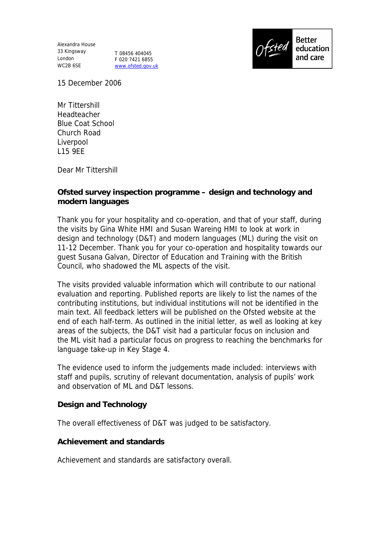Alexandra House 33 Kingsway London WC2B 6SE

T 08456 404045 F 020 7421 6855 www.ofsted.gov.uk



15 December 2006

Mr Tittershill Headteacher Blue Coat School Church Road Liverpool L15 9EE

Dear Mr Tittershill

**Ofsted survey inspection programme – design and technology and modern languages**

Thank you for your hospitality and co-operation, and that of your staff, during the visits by Gina White HMI and Susan Wareing HMI to look at work in design and technology (D&T) and modern languages (ML) during the visit on 11-12 December. Thank you for your co-operation and hospitality towards our guest Susana Galvan, Director of Education and Training with the British Council, who shadowed the ML aspects of the visit.

The visits provided valuable information which will contribute to our national evaluation and reporting. Published reports are likely to list the names of the contributing institutions, but individual institutions will not be identified in the main text. All feedback letters will be published on the Ofsted website at the end of each half-term. As outlined in the initial letter, as well as looking at key areas of the subjects, the D&T visit had a particular focus on inclusion and the ML visit had a particular focus on progress to reaching the benchmarks for language take-up in Key Stage 4.

The evidence used to inform the judgements made included: interviews with staff and pupils, scrutiny of relevant documentation, analysis of pupils' work and observation of ML and D&T lessons.

**Design and Technology**

The overall effectiveness of D&T was judged to be satisfactory.

**Achievement and standards**

Achievement and standards are satisfactory overall.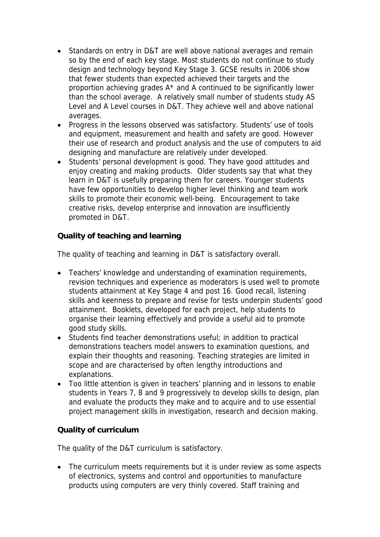- Standards on entry in D&T are well above national averages and remain so by the end of each key stage. Most students do not continue to study design and technology beyond Key Stage 3. GCSE results in 2006 show that fewer students than expected achieved their targets and the proportion achieving grades A\* and A continued to be significantly lower than the school average. A relatively small number of students study AS Level and A Level courses in D&T. They achieve well and above national averages.
- Progress in the lessons observed was satisfactory. Students' use of tools and equipment, measurement and health and safety are good. However their use of research and product analysis and the use of computers to aid designing and manufacture are relatively under developed.
- Students' personal development is good. They have good attitudes and enjoy creating and making products. Older students say that what they learn in D&T is usefully preparing them for careers. Younger students have few opportunities to develop higher level thinking and team work skills to promote their economic well-being. Encouragement to take creative risks, develop enterprise and innovation are insufficiently promoted in D&T.

**Quality of teaching and learning** 

The quality of teaching and learning in D&T is satisfactory overall.

- Teachers' knowledge and understanding of examination requirements, revision techniques and experience as moderators is used well to promote students attainment at Key Stage 4 and post 16. Good recall, listening skills and keenness to prepare and revise for tests underpin students' good attainment. Booklets, developed for each project, help students to organise their learning effectively and provide a useful aid to promote good study skills.
- Students find teacher demonstrations useful; in addition to practical demonstrations teachers model answers to examination questions, and explain their thoughts and reasoning. Teaching strategies are limited in scope and are characterised by often lengthy introductions and explanations.
- Too little attention is given in teachers' planning and in lessons to enable students in Years 7, 8 and 9 progressively to develop skills to design, plan and evaluate the products they make and to acquire and to use essential project management skills in investigation, research and decision making.

## **Quality of curriculum**

The quality of the D&T curriculum is satisfactory.

• The curriculum meets requirements but it is under review as some aspects of electronics, systems and control and opportunities to manufacture products using computers are very thinly covered. Staff training and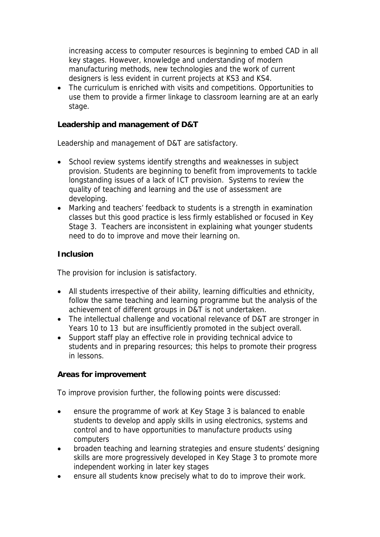increasing access to computer resources is beginning to embed CAD in all key stages. However, knowledge and understanding of modern manufacturing methods, new technologies and the work of current designers is less evident in current projects at KS3 and KS4.

• The curriculum is enriched with visits and competitions. Opportunities to use them to provide a firmer linkage to classroom learning are at an early stage.

**Leadership and management of D&T**

Leadership and management of D&T are satisfactory.

- School review systems identify strengths and weaknesses in subject provision. Students are beginning to benefit from improvements to tackle longstanding issues of a lack of ICT provision. Systems to review the quality of teaching and learning and the use of assessment are developing.
- Marking and teachers' feedback to students is a strength in examination classes but this good practice is less firmly established or focused in Key Stage 3. Teachers are inconsistent in explaining what younger students need to do to improve and move their learning on.

### **Inclusion**

The provision for inclusion is satisfactory.

- All students irrespective of their ability, learning difficulties and ethnicity, follow the same teaching and learning programme but the analysis of the achievement of different groups in D&T is not undertaken.
- The intellectual challenge and vocational relevance of D&T are stronger in Years 10 to 13 but are insufficiently promoted in the subject overall.
- Support staff play an effective role in providing technical advice to students and in preparing resources; this helps to promote their progress in lessons.

#### **Areas for improvement**

To improve provision further, the following points were discussed:

- ensure the programme of work at Key Stage 3 is balanced to enable students to develop and apply skills in using electronics, systems and control and to have opportunities to manufacture products using computers
- broaden teaching and learning strategies and ensure students' designing skills are more progressively developed in Key Stage 3 to promote more independent working in later key stages
- ensure all students know precisely what to do to improve their work.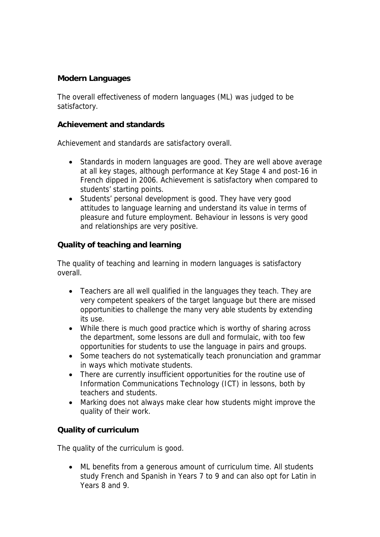## **Modern Languages**

The overall effectiveness of modern languages (ML) was judged to be satisfactory.

### **Achievement and standards**

Achievement and standards are satisfactory overall.

- Standards in modern languages are good. They are well above average at all key stages, although performance at Key Stage 4 and post-16 in French dipped in 2006. Achievement is satisfactory when compared to students' starting points.
- Students' personal development is good. They have very good attitudes to language learning and understand its value in terms of pleasure and future employment. Behaviour in lessons is very good and relationships are very positive.

### **Quality of teaching and learning**

The quality of teaching and learning in modern languages is satisfactory overall.

- Teachers are all well qualified in the languages they teach. They are very competent speakers of the target language but there are missed opportunities to challenge the many very able students by extending its use.
- While there is much good practice which is worthy of sharing across the department, some lessons are dull and formulaic, with too few opportunities for students to use the language in pairs and groups.
- Some teachers do not systematically teach pronunciation and grammar in ways which motivate students.
- There are currently insufficient opportunities for the routine use of Information Communications Technology (ICT) in lessons, both by teachers and students.
- Marking does not always make clear how students might improve the quality of their work.

## **Quality of curriculum**

The quality of the curriculum is good.

 ML benefits from a generous amount of curriculum time. All students study French and Spanish in Years 7 to 9 and can also opt for Latin in Years 8 and 9.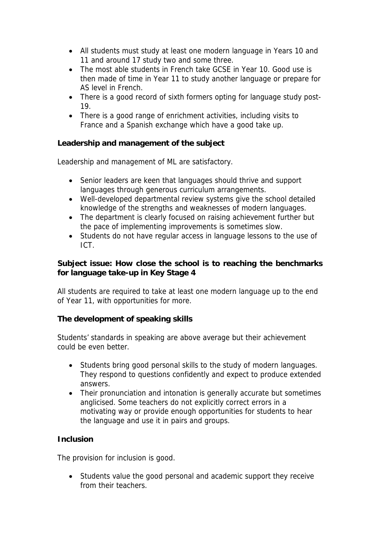- All students must study at least one modern language in Years 10 and 11 and around 17 study two and some three.
- The most able students in French take GCSE in Year 10. Good use is then made of time in Year 11 to study another language or prepare for AS level in French.
- There is a good record of sixth formers opting for language study post-19.
- There is a good range of enrichment activities, including visits to France and a Spanish exchange which have a good take up.

**Leadership and management of the subject**

Leadership and management of ML are satisfactory.

- Senior leaders are keen that languages should thrive and support languages through generous curriculum arrangements.
- Well-developed departmental review systems give the school detailed knowledge of the strengths and weaknesses of modern languages.
- The department is clearly focused on raising achievement further but the pace of implementing improvements is sometimes slow.
- Students do not have regular access in language lessons to the use of ICT.

**Subject issue: How close the school is to reaching the benchmarks for language take-up in Key Stage 4**

All students are required to take at least one modern language up to the end of Year 11, with opportunities for more.

**The development of speaking skills**

Students' standards in speaking are above average but their achievement could be even better.

- Students bring good personal skills to the study of modern languages. They respond to questions confidently and expect to produce extended answers.
- Their pronunciation and intonation is generally accurate but sometimes anglicised. Some teachers do not explicitly correct errors in a motivating way or provide enough opportunities for students to hear the language and use it in pairs and groups.

# **Inclusion**

The provision for inclusion is good.

• Students value the good personal and academic support they receive from their teachers.